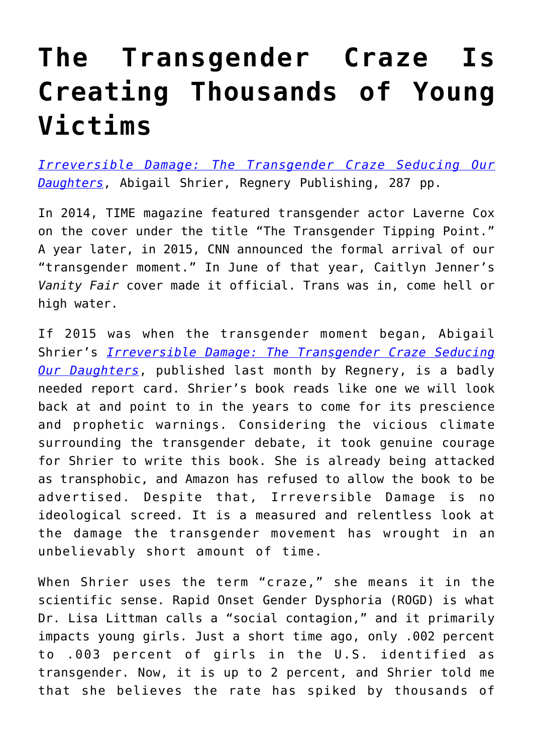## **[The Transgender Craze Is](https://intellectualtakeout.org/2020/07/the-transgender-craze-is-creating-thousands-of-young-victims/) [Creating Thousands of Young](https://intellectualtakeout.org/2020/07/the-transgender-craze-is-creating-thousands-of-young-victims/) [Victims](https://intellectualtakeout.org/2020/07/the-transgender-craze-is-creating-thousands-of-young-victims/)**

*[Irreversible Damage: The Transgender Craze Seducing Our](https://www.amazon.com/dp/B07YL6XK55/ref=dp-kindle-redirect?_encoding=UTF8&btkr=1) [Daughters](https://www.amazon.com/dp/B07YL6XK55/ref=dp-kindle-redirect?_encoding=UTF8&btkr=1)*, Abigail Shrier, Regnery Publishing, 287 pp.

In 2014, TIME magazine featured transgender actor Laverne Cox on the cover under the title "The Transgender Tipping Point." A year later, in 2015, CNN announced the formal arrival of our "transgender moment." In June of that year, Caitlyn Jenner's *Vanity Fair* cover made it official. Trans was in, come hell or high water.

If 2015 was when the transgender moment began, Abigail Shrier's *[Irreversible Damage: The Transgender Craze Seducing](https://www.amazon.com/gp/product/1684510317/ref=as_li_tl?ie=UTF8&camp=1789&creative=9325&creativeASIN=1684510317&linkCode=as2&tag=intelltakeo0d-20&linkId=21d46fac7c555bf0b18e90131af29dd9) [Our Daughters](https://www.amazon.com/gp/product/1684510317/ref=as_li_tl?ie=UTF8&camp=1789&creative=9325&creativeASIN=1684510317&linkCode=as2&tag=intelltakeo0d-20&linkId=21d46fac7c555bf0b18e90131af29dd9)*, published last month by Regnery, is a badly needed report card. Shrier's book reads like one we will look back at and point to in the years to come for its prescience and prophetic warnings. Considering the vicious climate surrounding the transgender debate, it took genuine courage for Shrier to write this book. She is already being attacked as transphobic, and Amazon has refused to allow the book to be advertised. Despite that, Irreversible Damage is no ideological screed. It is a measured and relentless look at the damage the transgender movement has wrought in an unbelievably short amount of time.

When Shrier uses the term "craze," she means it in the scientific sense. Rapid Onset Gender Dysphoria (ROGD) is what Dr. Lisa Littman calls a "social contagion," and it primarily impacts young girls. Just a short time ago, only .002 percent to .003 percent of girls in the U.S. identified as transgender. Now, it is up to 2 percent, and Shrier told me that she believes the rate has spiked by thousands of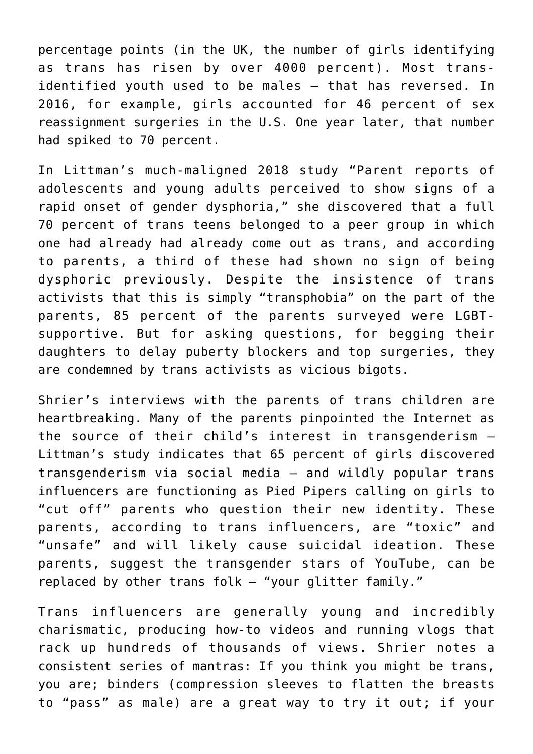percentage points (in the UK, the number of girls identifying as trans has risen by over 4000 percent). Most transidentified youth used to be males – that has reversed. In 2016, for example, girls accounted for 46 percent of sex reassignment surgeries in the U.S. One year later, that number had spiked to 70 percent.

In Littman's much-maligned 2018 study "Parent reports of adolescents and young adults perceived to show signs of a rapid onset of gender dysphoria," she discovered that a full 70 percent of trans teens belonged to a peer group in which one had already had already come out as trans, and according to parents, a third of these had shown no sign of being dysphoric previously. Despite the insistence of trans activists that this is simply "transphobia" on the part of the parents, 85 percent of the parents surveyed were LGBTsupportive. But for asking questions, for begging their daughters to delay puberty blockers and top surgeries, they are condemned by trans activists as vicious bigots.

Shrier's interviews with the parents of trans children are heartbreaking. Many of the parents pinpointed the Internet as the source of their child's interest in transgenderism – Littman's study indicates that 65 percent of girls discovered transgenderism via social media – and wildly popular trans influencers are functioning as Pied Pipers calling on girls to "cut off" parents who question their new identity. These parents, according to trans influencers, are "toxic" and "unsafe" and will likely cause suicidal ideation. These parents, suggest the transgender stars of YouTube, can be replaced by other trans folk – "your glitter family."

Trans influencers are generally young and incredibly charismatic, producing how-to videos and running vlogs that rack up hundreds of thousands of views. Shrier notes a consistent series of mantras: If you think you might be trans, you are; binders (compression sleeves to flatten the breasts to "pass" as male) are a great way to try it out; if your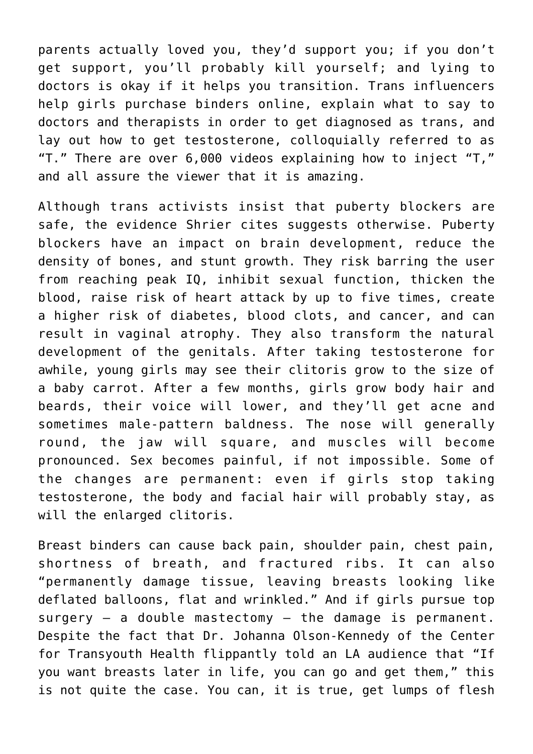parents actually loved you, they'd support you; if you don't get support, you'll probably kill yourself; and lying to doctors is okay if it helps you transition. Trans influencers help girls purchase binders online, explain what to say to doctors and therapists in order to get diagnosed as trans, and lay out how to get testosterone, colloquially referred to as "T." There are over 6,000 videos explaining how to inject "T," and all assure the viewer that it is amazing.

Although trans activists insist that puberty blockers are safe, the evidence Shrier cites suggests otherwise. Puberty blockers have an impact on brain development, reduce the density of bones, and stunt growth. They risk barring the user from reaching peak IQ, inhibit sexual function, thicken the blood, raise risk of heart attack by up to five times, create a higher risk of diabetes, blood clots, and cancer, and can result in vaginal atrophy. They also transform the natural development of the genitals. After taking testosterone for awhile, young girls may see their clitoris grow to the size of a baby carrot. After a few months, girls grow body hair and beards, their voice will lower, and they'll get acne and sometimes male-pattern baldness. The nose will generally round, the jaw will square, and muscles will become pronounced. Sex becomes painful, if not impossible. Some of the changes are permanent: even if girls stop taking testosterone, the body and facial hair will probably stay, as will the enlarged clitoris.

Breast binders can cause back pain, shoulder pain, chest pain, shortness of breath, and fractured ribs. It can also "permanently damage tissue, leaving breasts looking like deflated balloons, flat and wrinkled." And if girls pursue top surgery – a double mastectomy – the damage is permanent. Despite the fact that Dr. Johanna Olson-Kennedy of the Center for Transyouth Health flippantly told an LA audience that "If you want breasts later in life, you can go and get them," this is not quite the case. You can, it is true, get lumps of flesh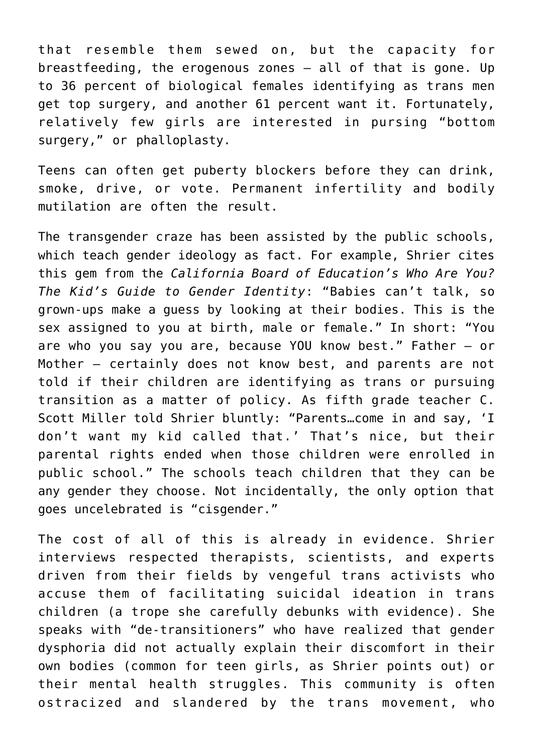that resemble them sewed on, but the capacity for breastfeeding, the erogenous zones – all of that is gone. Up to 36 percent of biological females identifying as trans men get top surgery, and another 61 percent want it. Fortunately, relatively few girls are interested in pursing "bottom surgery," or phalloplasty.

Teens can often get puberty blockers before they can drink, smoke, drive, or vote. Permanent infertility and bodily mutilation are often the result.

The transgender craze has been assisted by the public schools, which teach gender ideology as fact. For example, Shrier cites this gem from the *California Board of Education's Who Are You? The Kid's Guide to Gender Identity*: "Babies can't talk, so grown-ups make a guess by looking at their bodies. This is the sex assigned to you at birth, male or female." In short: "You are who you say you are, because YOU know best." Father – or Mother – certainly does not know best, and parents are not told if their children are identifying as trans or pursuing transition as a matter of policy. As fifth grade teacher C. Scott Miller told Shrier bluntly: "Parents…come in and say, 'I don't want my kid called that.' That's nice, but their parental rights ended when those children were enrolled in public school." The schools teach children that they can be any gender they choose. Not incidentally, the only option that goes uncelebrated is "cisgender."

The cost of all of this is already in evidence. Shrier interviews respected therapists, scientists, and experts driven from their fields by vengeful trans activists who accuse them of facilitating suicidal ideation in trans children (a trope she carefully debunks with evidence). She speaks with "de-transitioners" who have realized that gender dysphoria did not actually explain their discomfort in their own bodies (common for teen girls, as Shrier points out) or their mental health struggles. This community is often ostracized and slandered by the trans movement, who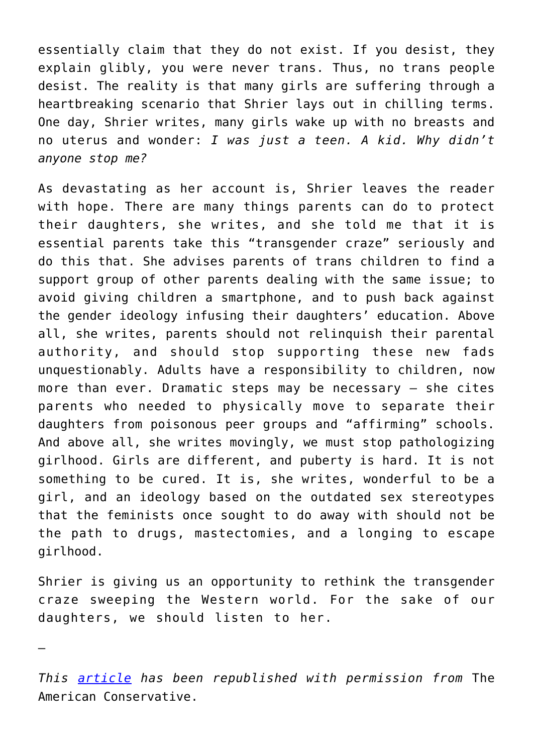essentially claim that they do not exist. If you desist, they explain glibly, you were never trans. Thus, no trans people desist. The reality is that many girls are suffering through a heartbreaking scenario that Shrier lays out in chilling terms. One day, Shrier writes, many girls wake up with no breasts and no uterus and wonder: *I was just a teen. A kid. Why didn't anyone stop me?*

As devastating as her account is, Shrier leaves the reader with hope. There are many things parents can do to protect their daughters, she writes, and she told me that it is essential parents take this "transgender craze" seriously and do this that. She advises parents of trans children to find a support group of other parents dealing with the same issue; to avoid giving children a smartphone, and to push back against the gender ideology infusing their daughters' education. Above all, she writes, parents should not relinquish their parental authority, and should stop supporting these new fads unquestionably. Adults have a responsibility to children, now more than ever. Dramatic steps may be necessary – she cites parents who needed to physically move to separate their daughters from poisonous peer groups and "affirming" schools. And above all, she writes movingly, we must stop pathologizing girlhood. Girls are different, and puberty is hard. It is not something to be cured. It is, she writes, wonderful to be a girl, and an ideology based on the outdated sex stereotypes that the feminists once sought to do away with should not be the path to drugs, mastectomies, and a longing to escape girlhood.

Shrier is giving us an opportunity to rethink the transgender craze sweeping the Western world. For the sake of our daughters, we should listen to her.

—

*This [article](https://www.theamericanconservative.com/articles/the-transgender-craze-is-leaving-thousands-of-young-victims-in-its-wake/) has been republished with permission from* The American Conservative.